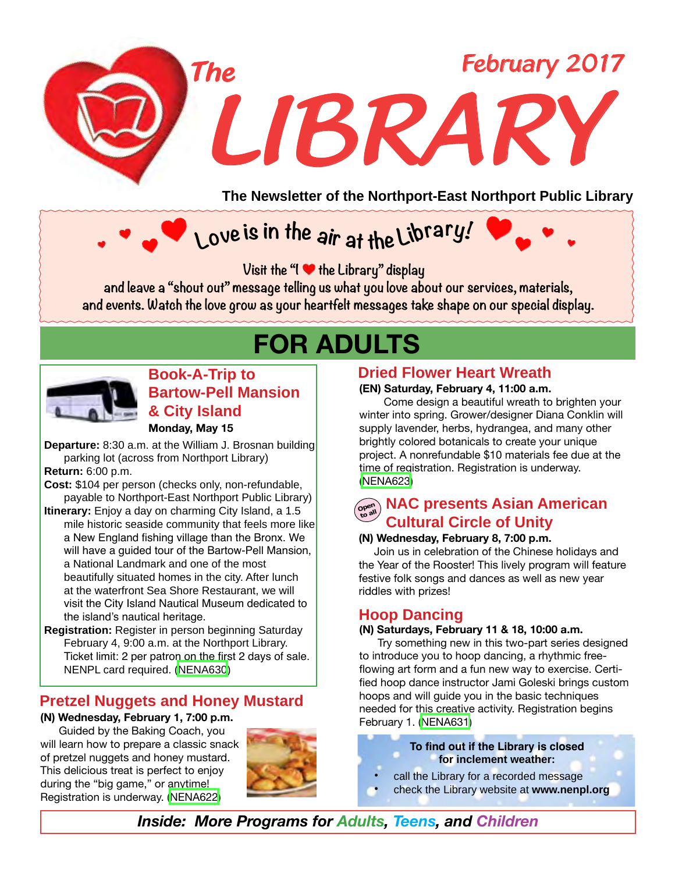

**The Newsletter of the Northport-East Northport Public Library**

# **Love is in the <sup>a</sup>ir at the Libra<sup>r</sup>y!**

*Visit the "I I the Library" display* 

**and leave a "shout out" message telling us what you love about our services, materials, and events. Watch the love grow as your heartfelt messages take shape on our special display.**

# **FOR ADULTS**



**Monday, May 15 Book-A-Trip to Bartow-Pell Mansion & City Island**

**Departure:** 8:30 a.m. at the William J. Brosnan building parking lot (across from Northport Library) **Return:** 6:00 p.m.

**Cost:** \$104 per person (checks only, non-refundable, payable to Northport-East Northport Public Library)

**Itinerary:** Enjoy a day on charming City Island, a 1.5 mile historic seaside community that feels more like a New England fishing village than the Bronx. We will have a guided tour of the Bartow-Pell Mansion, a National Landmark and one of the most beautifully situated homes in the city. After lunch at the waterfront Sea Shore Restaurant, we will visit the City Island Nautical Museum dedicated to the island's nautical heritage.

**Registration:** Register in person beginning Saturday February 4, 9:00 a.m. at the Northport Library. Ticket limit: 2 per patron on the first 2 days of sale. NENPL card required. ([NENA630](http://alpha1.suffolk.lib.ny.us/record%3Dg1070038~S43))

### **Pretzel Nuggets and Honey Mustard**

#### **(N) Wednesday, February 1, 7:00 p.m.**

 Guided by the Baking Coach, you will learn how to prepare a classic snack of pretzel nuggets and honey mustard. This delicious treat is perfect to enjoy during the "big game," or anytime! Registration is underway. [\(NENA622\)](http://alpha1.suffolk.lib.ny.us/record%3Dg1069217~S43)



### **Dried Flower Heart Wreath**

#### **(EN) Saturday, February 4, 11:00 a.m.**

 Come design a beautiful wreath to brighten your winter into spring. Grower/designer Diana Conklin will supply lavender, herbs, hydrangea, and many other brightly colored botanicals to create your unique project. A nonrefundable \$10 materials fee due at the time of registration. Registration is underway. ([NENA623](http://alpha1.suffolk.lib.ny.us/record%3Dg1069247~S43))

### **NAC presents Asian American**<br> **Conduct Asian American Cultural Circle of Unity**

#### **(N) Wednesday, February 8, 7:00 p.m.**

Join us in celebration of the Chinese holidays and the Year of the Rooster! This lively program will feature festive folk songs and dances as well as new year riddles with prizes!

### **Hoop Dancing**

#### **(N) Saturdays, February 11 & 18, 10:00 a.m.**

Try something new in this two-part series designed to introduce you to hoop dancing, a rhythmic freeflowing art form and a fun new way to exercise. Certified hoop dance instructor Jami Goleski brings custom hoops and will guide you in the basic techniques needed for this creative activity. Registration begins February 1. [\(NENA631\)](http://alpha1.suffolk.lib.ny.us/record%3Dg1069933~S43)

> **To find out if the Library is closed for inclement weather:**

- call the Library for a recorded message
- check the Library website at www.nenpl.org

*Inside: More Programs for Adults, Teens, and Children*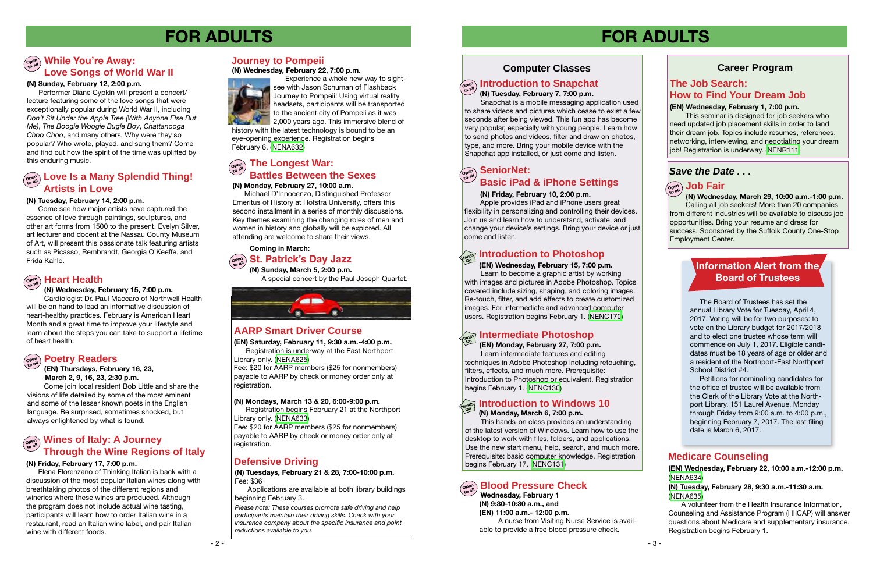**Wednesday, February 1 (N) 9:30-10:30 a.m., and (EN) 11:00 a.m.- 12:00 p.m.** A nurse from Visiting Nurse Service is available to provide a free blood pressure check.

### **Computer Classes**

## $\left(\begin{smallmatrix} \mathcal{P}_{\mathcal{P}_{\mathcal{S}}^{\text{opt}}}, & \mathcal{P}_{\mathcal{S}_{\mathcal{S}}} \end{smallmatrix}\right)$  introduction to Snapchat

#### **(N) Friday, February 10, 2:00 p.m.**

 Apple provides iPad and iPhone users great flexibility in personalizing and controlling their devices. Join us and learn how to understand, activate, and change your device's settings. Bring your device or just come and listen.

### **SeniorNet: SeniorNet: Basic iPad & iPhone Settings**

## **FOR ADULTS**

### **Career Program**

## **FOR ADULTS**

**(EN) Wednesday, February 22, 10:00 a.m.-12:00 p.m.** ([NENA634\)](http://alpha1.suffolk.lib.ny.us/record%3Dg1069947~S43)

**(N) Tuesday, February 28, 9:30 a.m.-11:30 a.m.**  ([NENA635\)](http://alpha1.suffolk.lib.ny.us/record%3Dg1069967~S43)

A volunteer from the Health Insurance Information, Counseling and Assistance Program (HIICAP) will answer questions about Medicare and supplementary insurance. Registration begins February 1.

## **Hands On Introduction to Windows 10**

#### **(N) Monday, March 6, 7:00 p.m.**

## **Open to all Heart Health**

 This hands-on class provides an understanding of the latest version of Windows. Learn how to use the desktop to work with files, folders, and applications. Use the new start menu, help, search, and much more. Prerequisite: basic computer knowledge. Registration begins February 17. [\(NENC131\)](http://alpha1.suffolk.lib.ny.us/record%3Dg1040832~S43)

### **Defensive Driving**

*Please note: These courses promote safe driving and help participants maintain their driving skills. Check with your insurance company about the specific insurance and point reductions available to you.*

### **AARP Smart Driver Course**

#### **(N) Mondays, March 13 & 20, 6:00-9:00 p.m.**

#### **Open to all Blood Pressure Check**

Registration begins February 21 at the Northport Library only. [\(NENA633](http://alpha1.suffolk.lib.ny.us/record%3Dg1069969~S43))

Fee: \$20 for AARP members (\$25 for nonmembers) payable to AARP by check or money order only at registration.

**(N) Tuesday, February 7, 7:00 p.m.**

 Snapchat is a mobile messaging application used to share videos and pictures which cease to exist a few seconds after being viewed. This fun app has become very popular, especially with young people. Learn how to send photos and videos, filter and draw on photos, type, and more. Bring your mobile device with the Snapchat app installed, or just come and listen.

### $\left(\begin{matrix} \mathbf{p}_{\text{open}} \\ \mathbf{p}_{\text{cal}} \end{matrix}\right)$  The Longest War: **Battles Between the Sexes**

**(N) Tuesdays, February 21 & 28, 7:00-10:00 p.m.** Fee: \$36

Applications are available at both library buildings beginning February 3.

### **Medicare Counseling**

#### **(N) Tuesday, February 14, 2:00 p.m.**

Learn to become a graphic artist by working with images and pictures in Adobe Photoshop. Topics covered include sizing, shaping, and coloring images. Re-touch, filter, and add effects to create customized images. For intermediate and advanced computer users. Registration begins February 1. ([NENC170](http://alpha1.suffolk.lib.ny.us/record%3Dg1053557~S43))

#### **Love Is a Many Splendid Thing! Artists in Love Open to all**

 Come see how major artists have captured the essence of love through paintings, sculptures, and other art forms from 1500 to the present. Evelyn Silver, art lecturer and docent at the Nassau County Museum of Art, will present this passionate talk featuring artists such as Picasso, Rembrandt, Georgia O'Keeffe, and Frida Kahlo.

#### **(N) Wednesday, February 15, 7:00 p.m.**

 Cardiologist Dr. Paul Maccaro of Northwell Health will be on hand to lead an informative discussion of heart-healthy practices. February is American Heart Month and a great time to improve your lifestyle and learn about the steps you can take to support a lifetime of heart health.

#### **Open to all Poetry Readers**

#### **Wines of Italy: A Journey Through the Wine Regions of Italy Open to all**

### **Information Alert from the Board of Trustees**

### $\left(\begin{smallmatrix} \mathsf{open} \ \mathsf{out} \end{smallmatrix}\right)$  While You're Away: **Love Songs of World War II**

#### **(EN) Thursdays, February 16, 23, March 2, 9, 16, 23, 2:30 p.m.**

 Come join local resident Bob Little and share the visions of life detailed by some of the most eminent and some of the lesser known poets in the English language. Be surprised, sometimes shocked, but always enlightened by what is found.

Performer Diane Cypkin will present a concert/ lecture featuring some of the love songs that were exceptionally popular during World War II, including *Don't Sit Under the Apple Tree (With Anyone Else But Me)*, *The Boogie Woogie Bugle Boy*, *Chattanooga Choo Choo*, and many others. Why were they so popular? Who wrote, played, and sang them? Come and find out how the spirit of the time was uplifted by this enduring music.

#### **(N) Friday, February 17, 7:00 p.m.**

 Elena Florenzano of Thinking Italian is back with a discussion of the most popular Italian wines along with breathtaking photos of the different regions and wineries where these wines are produced. Although the program does not include actual wine tasting, participants will learn how to order Italian wine in a restaurant, read an Italian wine label, and pair Italian wine with different foods.

#### **(N) Monday, February 27, 10:00 a.m.**

Michael D'Innocenzo, Distinguished Professor Emeritus of History at Hofstra University, offers this second installment in a series of monthly discussions. Key themes examining the changing roles of men and women in history and globally will be explored. All attending are welcome to share their views.

**(EN) Saturday, February 11, 9:30 a.m.-4:00 p.m.** Registration is underway at the East Northport Library only. [\(NENA625](http://alpha1.suffolk.lib.ny.us/record%3Dg1069311~S43))

Fee: \$20 for AARP members (\$25 for nonmembers) payable to AARP by check or money order only at registration.

#### **(EN) Wednesday, February 15, 7:00 p.m.**

## **Introduction to Photoshop Hands On**

#### **(EN) Wednesday, February 1, 7:00 p.m.**

This seminar is designed for job seekers who need updated job placement skills in order to land their dream job. Topics include resumes, references, networking, interviewing, and negotiating your dream job! Registration is underway. ([NENR111\)](http://alpha1.suffolk.lib.ny.us/record%3Dg1069388~S43)

### **The Job Search: How to Find Your Dream Job**

### **Journey to Pompeii**

**(N) Wednesday, February 22, 7:00 p.m.**



 Experience a whole new way to sightsee with Jason Schuman of Flashback Journey to Pompeii! Using virtual reality headsets, participants will be transported to the ancient city of Pompeii as it was 2,000 years ago. This immersive blend of

history with the latest technology is bound to be an eye-opening experience. Registration begins February 6. [\(NENA632](http://alpha1.suffolk.lib.ny.us/record%3Dg1069942~S43))

> The Board of Trustees has set the annual Library Vote for Tuesday, April 4, 2017. Voting will be for two purposes: to vote on the Library budget for 2017/2018 and to elect one trustee whose term will commence on July 1, 2017. Eligible candidates must be 18 years of age or older and a resident of the Northport-East Northport School District #4.

> Petitions for nominating candidates for the office of trustee will be available from the Clerk of the Library Vote at the Northport Library, 151 Laurel Avenue, Monday through Friday from 9:00 a.m. to 4:00 p.m., beginning February 7, 2017. The last filing date is March 6, 2017.

#### **(N) Sunday, February 12, 2:00 p.m.**

#### **(EN) Monday, February 27, 7:00 p.m.**

## **Intermediate Photoshop Hands On**

Learn intermediate features and editing techniques in Adobe Photoshop including retouching, filters, effects, and much more. Prerequisite: Introduction to Photoshop or equivalent. Registration begins February 1. ([NENC130](http://alpha1.suffolk.lib.ny.us/record%3Dg1070254~S43))

#### **(N) Wednesday, March 29, 10:00 a.m.-1:00 p.m.** Calling all job seekers! More than 20 companies from different industries will be available to discuss job opportunities. Bring your resume and dress for success. Sponsored by the Suffolk County One-Stop

Employment Center.

#### **Open to all St. Patrick's Day Jazz**

**(N) Sunday, March 5, 2:00 p.m.** A special concert by the Paul Joseph Quartet.



#### **Coming in March:**

### *Save the Date . . .*

### $\left(\begin{smallmatrix} \mathsf{open} \ \mathsf{open} \ \mathsf{to} \end{smallmatrix} \right)$  Job Fair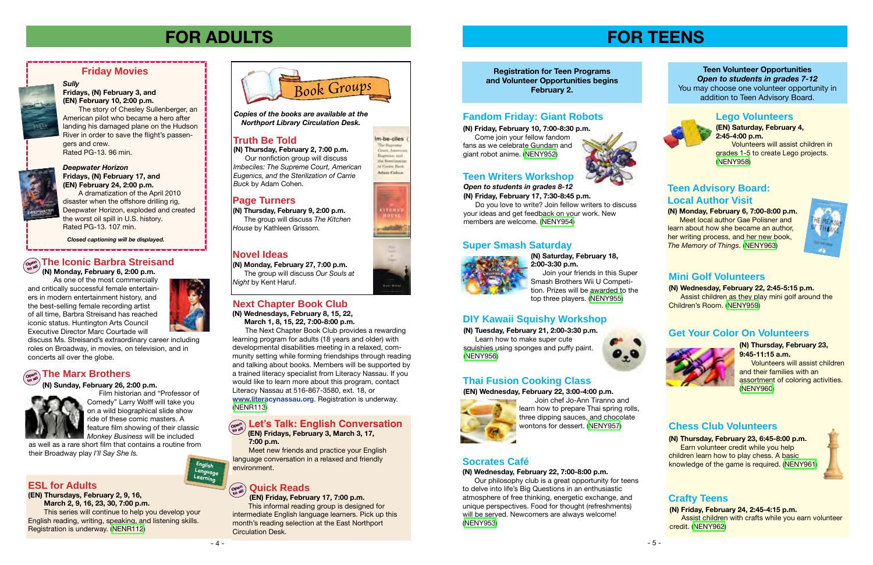#### *Open to students in grades 8-12* **(N) Friday, February 17, 7:30-8:45 p.m.**

 Do you love to write? Join fellow writers to discuss your ideas and get feedback on your work. New

members are welcome. ([NENY954](http://alpha1.suffolk.lib.ny.us/record%3Dg1069990~S43))

**Registration for Teen Programs and Volunteer Opportunities begins February 2.**



**(EN) Saturday, February 4, 2:45-4:00 p.m.**

 Volunteers will assist children in grades 1-5 to create Lego projects. [\(NENY958](http://alpha1.suffolk.lib.ny.us/record%3Dg1070046~S43))

**(N) Wednesday, February 22, 2:45-5:15 p.m.**  Assist children as they play mini golf around the Children's Room. ([NENY959](http://alpha1.suffolk.lib.ny.us/record%3Dg1070148~S43))

## **FOR ADULTS**

**(N) Monday, February 27, 7:00 p.m.**

The group will discuss *Our Souls at* 

*Night* by Kent Haruf.



**(EN) Friday, February 17, 7:00 p.m.**

This informal reading group is designed for intermediate English language learners. Pick up this month's reading selection at the East Northport Circulation Desk.



*Deepwater Horizon*

**Fridays, (N) February 17, and (EN) February 24, 2:00 p.m.**

 A dramatization of the April 2010 disaster when the offshore drilling rig, Deepwater Horizon, exploded and created

the worst oil spill in U.S. history.

Rated PG-13. 107 min.

**Friday Movies**

**(N) Saturday, February 18, 2:00-3:30 p.m.**

 Join your friends in this Super Smash Brothers Wii U Competition. Prizes will be awarded to the top three players. ([NENY955](http://alpha1.suffolk.lib.ny.us/record%3Dg1069997~S43))

### **Lego Volunteers**

**(N) Monday, February 6, 7:00-8:00 p.m. Meet local author Gae Polisner and** learn about how she became an author, her writing process, and her new book. *The Memory of Things*. [\(NENY963\)](http://alpha1.suffolk.lib.ny.us/record%3Dg1070204~S43)



#### **Teen Writers Workshop**

### **Super Smash Saturday**



### **Socrates Café**

#### **(N) Wednesday, February 22, 7:00-8:00 p.m.**

 Our philosophy club is a great opportunity for teens to delve into life's Big Questions in an enthusiastic atmosphere of free thinking, energetic exchange, and unique perspectives. Food for thought (refreshments) will be served. Newcomers are always welcome! [\(NENY953](http://alpha1.suffolk.lib.ny.us/record%3Dg1069987~S43))







Im-be-ciles The Suzzeme Court, America Bagman, and the **Needlastic** of Carson Back

#### **Teen Volunteer Opportunities** *Open to students in grades 7-12* You may choose one volunteer opportunity in addition to Teen Advisory Board.



### **Teen Advisory Board: Local Author Visit**

### **Mini Golf Volunteers**

#### **Truth Be Told**

#### **Page Turners**

#### **Novel Ideas**

**(N) Thursday, February 9, 2:00 p.m.** The group will discuss *The Kitchen House* by Kathleen Grissom*.*

*Sully*

**Fridays, (N) February 3, and (EN) February 10, 2:00 p.m.** 

 The story of Chesley Sullenberger, an American pilot who became a hero after landing his damaged plane on the Hudson River in order to save the flight's passen-

gers and crew.

Rated PG-13. 96 min.

*Closed captioning will be displayed.*

*Copies of the books are available at the Northport Library Circulation Desk.*

**(N) Thursday, February 2, 7:00 p.m.** Our nonfiction group will discuss *Imbeciles: The Supreme Court, American Eugenics, and the Sterilization of Carrie Buck* by Adam Cohen.

**The Iconic Barbra Streisand Open to all (N) Monday, February 6, 2:00 p.m.** As one of the most commercially

and critically successful female entertainers in modern entertainment history, and the best-selling female recording artist of all time, Barbra Streisand has reached iconic status. Huntington Arts Council Executive Director Marc Courtade will

discuss Ms. Streisand's extraordinary career including roles on Broadway, in movies, on television, and in

concerts all over the globe.

 $\overline{\mathbf{C}}_{\mathbf{C}^{\mathsf{open}}}^{\mathsf{open}}$  The Marx Brothers

**(N) Tuesday, February 21, 2:00-3:30 p.m.** Learn how to make super cute squishies using sponges and puffy paint. [\(NENY956](http://alpha1.suffolk.lib.ny.us/record%3Dg1070017~S43))



### **DIY Kawaii Squishy Workshop**

### **Thai Fusion Cooking Class**

**(EN) Wednesday, February 22, 3:00-4:00 p.m.**



 Join chef Jo-Ann Tiranno and learn how to prepare Thai spring rolls, three dipping sauces, and chocolate wontons for dessert. [\(NENY957\)](http://alpha1.suffolk.lib.ny.us/record%3Dg1070018~S43)

### **Fandom Friday: Giant Robots**

**(N) Friday, February 10, 7:00-8:30 p.m.**

 Come join your fellow fandom fans as we celebrate Gundam and giant robot anime. ([NENY952](http://alpha1.suffolk.lib.ny.us/record%3Dg1069984~S43))



 **(N) Sunday, February 26, 2:00 p.m.**

Film historian and "Professor of Comedy" Larry Wolff will take you on a wild biographical slide show ride of these comic masters. A feature film showing of their classic *Monkey Business* will be included

#### as well as a rare short film that contains a routine from their Broadway play *I'll Say She Is.*

#### **(N) Thursday, February 23, 9:45-11:15 a.m.**

 Volunteers will assist children and their families with an assortment of coloring activities. [\(NENY960](http://alpha1.suffolk.lib.ny.us/record%3Dg1070171~S43))

### **Get Your Color On Volunteers**



**(N) Thursday, February 23, 6:45-8:00 p.m.**  Earn volunteer credit while you help children learn how to play chess. A basic knowledge of the game is required. [\(NENY961\)](http://alpha1.suffolk.lib.ny.us/record%3Dg1070175~S43)



### **Chess Club Volunteers**

### **Crafty Teens**

**(N) Friday, February 24, 2:45-4:15 p.m.**  Assist children with crafts while you earn volunteer credit. [\(NENY962\)](http://alpha1.suffolk.lib.ny.us/record%3Dg1070175~S43)

**(N) Wednesdays, February 8, 15, 22, March 1, 8, 15, 22, 7:00-8:00 p.m.**

The Next Chapter Book Club provides a rewarding learning program for adults (18 years and older) with developmental disabilities meeting in a relaxed, community setting while forming friendships through reading and talking about books. Members will be supported by a trained literacy specialist from Literacy Nassau. If you would like to learn more about this program, contact Literacy Nassau at 516-867-3580, ext. 18, or **www.literacynassau.org**. Registration is underway. [\(NENR113\)](http://alpha1.suffolk.lib.ny.us/record%3Dg1070212~S43)

### **Next Chapter Book Club**

### **7:00 p.m.**

#### **Let's Talk: English Conversation (EN) Fridays, February 3, March 3, 17, Open to all**

Meet new friends and practice your English language conversation in a relaxed and friendly environment.

### $\left(\begin{smallmatrix} \mathsf{open}\ \mathsf{on} \mathsf{on} \end{smallmatrix}\right)$  Quick Reads

**English Language Learning**

### **ESL for Adults**

**(EN) Thursdays, February 2, 9, 16,** 

 **March 2, 9, 16, 23, 30, 7:00 p.m.** This series will continue to help you develop your English reading, writing, speaking, and listening skills. Registration is underway. [\(NENR112](http://alpha1.suffolk.lib.ny.us/record%3Dg1065404~S43))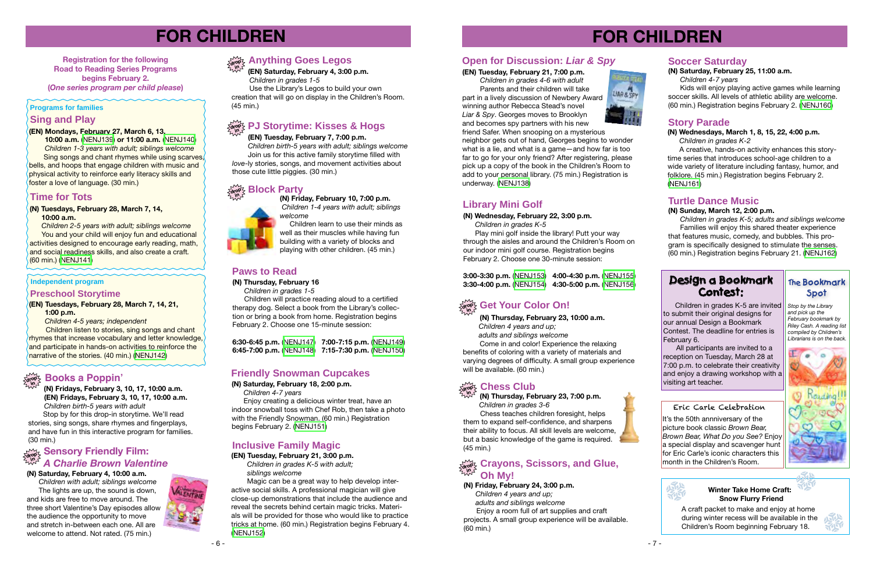# **FOR CHILDREN**

**Registration for the following Road to Reading Series Programs begins February 2. (***One series program per child please***)**

#### **Programs for families**

#### **(EN) Tuesday, February 7, 7:00 p.m.**

 *Children birth-5 years with adult; siblings welcome* Join us for this active family storytime filled with *love*-ly stories, songs, and movement activities about those cute little piggies. (30 min.)

### $\log \frac{1}{2}$  Block Party

# **FOR CHILDREN**



**(N) Fridays, February 3, 10, 17, 10:00 a.m. (EN) Fridays, February 3, 10, 17, 10:00 a.m.**  *Children birth-5 years with adult*

#### **in (EN) Saturday, February 4, 3:00 p.m.**

 Stop by for this drop-in storytime. We'll read stories, sing songs, share rhymes and fingerplays, and have fun in this interactive program for families. (30 min.)

### $\begin{array}{c}\text{mod} \ \text{mod} \ \text{mod} \ \text{mod} \ \text{mod} \ \text{mod} \ \text{mod} \ \text{mod} \ \text{mod} \ \text{mod} \ \text{mod} \ \text{mod} \ \text{mod} \ \text{mod} \ \text{mod} \ \text{mod} \ \text{mod} \ \text{mod} \ \text{mod} \ \text{mod} \ \text{mod} \ \text{mod} \ \text{mod} \ \text{mod} \ \text{mod} \ \text{mod} \ \text{mod} \ \text{mod} \ \text{mod} \ \text{mod} \ \text{mod} \ \text{mod} \ \text{mod} \ \text{mod} \ \text{mod} \ \text{mod$ *A* **Charlie Brown Valentine**

### **drop Anything Goes Legos**

 *Children in grades 1-5*

 Use the Library's Legos to build your own creation that will go on display in the Children's Room. (45 min.)

### $\frac{d}{d\theta}$  **PJ Storytime: Kisses & Hogs**

#### **∂જેટ્ર Chess Club in**

**Independent program**

Enjoy creating a delicious winter treat, have an indoor snowball toss with Chef Rob, then take a photo with the Friendly Snowman. (60 min.) Registration begins February 2. ([NENJ151\)](http://alpha1.suffolk.lib.ny.us/record%3Dg1068622~S43)

### **Paws to Read**

#### **(N) Saturday, February 4, 10:00 a.m.**

*Children with adult; siblings welcome* The lights are up, the sound is down, and kids are free to move around. The three short Valentine's Day episodes allow the audience the opportunity to move and stretch in-between each one. All are welcome to attend. Not rated. (75 min.)



**(N) Thursday, February 16**

 *Children in grades 1-5*

 Children will practice reading aloud to a certified therapy dog. Select a book from the Library's collection or bring a book from home. Registration begins February 2. Choose one 15-minute session:

**6:30-6:45 p.m.** ([NENJ147](http://alpha1.suffolk.lib.ny.us/record%3Dg1069993~S43)) **7:00-7:15 p.m.** ([NENJ149](http://alpha1.suffolk.lib.ny.us/record%3Dg1069999~S43)) **6:45-7:00 p.m.** ([NENJ148](http://alpha1.suffolk.lib.ny.us/record%3Dg1069996~S43)) **7:15-7:30 p.m.** ([NENJ150](http://alpha1.suffolk.lib.ny.us/record%3Dg1070000~S43))

# لاسم **Friendly Snowman Cupcakes**<br>روابع الجمهوري المسيحي المسيحي المسيحي المسيحي المسيحي المسيحي المسيحي المسيحي المسيحي المسيحي المسيحي المسيحي<br>المسيحي المسيحي المسيحي المسيحي المسيحي المسيحي المسيحي المسيحي المسيحي المسي

**(N) Saturday, February 18, 2:00 p.m.** 

 Children listen to stories, sing songs and chant rhymes that increase vocabulary and letter knowledge, and participate in hands-on activities to reinforce the narrative of the stories. (40 min.) [\(NENJ142\)](http://alpha1.suffolk.lib.ny.us/record%3Dg1070211~S43)

 *Children 4-7 years*

**(N) Thursday, February 23, 7:00 p.m.**  *Children in grades 3-6*

 Chess teaches children foresight, helps them to expand self-confidence, and sharpens their ability to focus. All skill levels are welcome, but a basic knowledge of the game is required. (45 min.)

#### **(N) Saturday, February 25, 11:00 a.m.**

 *Children 4-7 years*

Kids will enjoy playing active games while learning soccer skills. All levels of athletic ability are welcome. (60 min.) Registration begins February 2. [\(NENJ160\)](http://alpha1.suffolk.lib.ny.us/record%3Dg1068627~S43)

#### **Soccer Saturday**

**(N) Friday, February 10, 7:00 p.m.**  *Children 1-4 years with adult; siblings welcome*

 Children learn to use their minds as well as their muscles while having fun building with a variety of blocks and playing with other children. (45 min.)

#### **(EN) Mondays, February 27, March 6, 13,**

 **10:00 a.m.** [\(NENJ139\)](http://alpha1.suffolk.lib.ny.us/record%3Dg1068637~S43) **or 11:00 a.m.** [\(NENJ140\)](http://alpha1.suffolk.lib.ny.us/record%3Dg1068638~S43)  *Children 1-3 years with adult; siblings welcome* Sing songs and chant rhymes while using scarves, bells, and hoops that engage children with music and physical activity to reinforce early literacy skills and foster a love of language. (30 min.)

### **Sing and Play**

### **Time for Tots**

#### **(N) Tuesdays, February 28, March 7, 14, 10:00 a.m.**

 *Children 2-5 years with adult; siblings welcome* You and your child will enjoy fun and educational activities designed to encourage early reading, math, and social readiness skills, and also create a craft*.* (60 min.) [\(NENJ141\)](http://alpha1.suffolk.lib.ny.us/record%3Dg1069982~S43)

#### **(EN) Tuesdays, February 28, March 7, 14, 21, 1:00 p.m.**

 *Children 4-5 years; independent* 

#### **Preschool Storytime**

### **(EN) Tuesday, February 21, 7:00 p.m.**

 *Children in grades 4-6 with adult* Parents and their children will take part in a lively discussion of Newbery Award winning author Rebecca Stead's novel *Liar & Spy*. Georges moves to Brooklyn and becomes spy partners with his new



friend Safer. When snooping on a mysterious neighbor gets out of hand, Georges begins to wonder what is a lie, and what is a game—and how far is too far to go for your only friend? After registering, please pick up a copy of the book in the Children's Room to add to your personal library. (75 min.) Registration is underway. [\(NENJ138\)](http://alpha1.suffolk.lib.ny.us/record%3Dg1068283~S43)

### **Open for Discussion:** *Liar & Spy*



#### **(EN) Tuesday, February 21, 3:00 p.m.** *Children in grades K-5 with adult; siblings welcome*

 Magic can be a great way to help develop interactive social skills. A professional magician will give close-up demonstrations that include the audience and reveal the secrets behind certain magic tricks. Materials will be provided for those who would like to practice tricks at home. (60 min.) Registration begins February 4. ([NENJ152](http://alpha1.suffolk.lib.ny.us/record%3Dg1068388~S43))

### **Inclusive Family Magic**

### **Library Mini Golf**

#### **(N) Wednesday, February 22, 3:00 p.m.**

 *Children in grades K-5*

 Play mini golf inside the library! Putt your way through the aisles and around the Children's Room on our indoor mini golf course. Registration begins February 2. Choose one 30-minute session:

**3:00-3:30 p.m.** [\(NENJ153\)](http://alpha1.suffolk.lib.ny.us/record%3Dg1068623~S43) **4:00-4:30 p.m.** ([NENJ155\)](http://alpha1.suffolk.lib.ny.us/record%3Dg1068625~S43) **3:30-4:00 p.m.** [\(NENJ154\)](http://alpha1.suffolk.lib.ny.us/record%3Dg1068624~S43) **4:30-5:00 p.m.** ([NENJ156\)](http://alpha1.suffolk.lib.ny.us/record%3Dg1068626~S43)

## $\frac{\partial \mathbf{e}}{\partial \mathbf{e}^{\prime}}$  Get Your Color On!

**(N) Thursday, February 23, 10:00 a.m.**  *Children 4 years and up; adults and siblings welcome* Come in and color! Experience the relaxing benefits of coloring with a variety of materials and varying degrees of difficulty. A small group experience will be available. (60 min.)

**(N) Friday, February 24, 3:00 p.m.**

 *Children 4 years and up;* 

 *adults and siblings welcome*

#### **drop Crayons, Scissors, and Glue, in Oh My!**

Enjoy a room full of art supplies and craft projects. A small group experience will be available. (60 min.)



**(N) Wednesdays, March 1, 8, 15, 22, 4:00 p.m.**  *Children in grades K-2*

A creative, hands-on activity enhances this storytime series that introduces school-age children to a wide variety of literature including fantasy, humor, and folklore. (45 min.) Registration begins February 2. ([NENJ161](http://alpha1.suffolk.lib.ny.us/record%3Dg1070001~S43))

### **Story Parade**

#### **(N) Sunday, March 12, 2:00 p.m.**

 *Children in grades K-5; adults and siblings welcome* Families will enjoy this shared theater experience that features music, comedy, and bubbles. This program is specifically designed to stimulate the senses. (60 min.) Registration begins February 21. ([NENJ162](http://alpha1.suffolk.lib.ny.us/record%3Dg1068628~S43))

### **Turtle Dance Music**

 Children in grades K-5 are invited to submit their original designs for our annual Design a Bookmark Contest. The deadline for entries is February 6.

All participants are invited to a reception on Tuesday, March 28 at 7:00 p.m. to celebrate their creativity and enjoy a drawing workshop with a visiting art teacher.

### **Design a Bookmark Contest:**

### **The Bookmark Spot**

*Stop by the Library and pick up the February bookmark by Riley Cash. A reading list compiled by Children's Librarians is on the back.*





A craft packet to make and enjoy at home during winter recess will be available in the Children's Room beginning February 18.



#### **Winter Take Home Craft: Snow Flurry Friend**

#### Eric Carle Celebration

It's the 50th annniversary of the picture book classic *Brown Bear, Brown Bear, What Do you See?* Enjoy a special display and scavenger hunt for Eric Carle's iconic characters this month in the Children's Room.